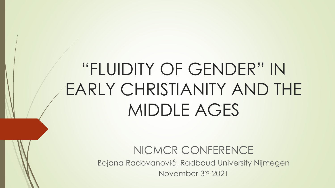## "FLUIDITY OF GENDER" IN EARLY CHRISTIANITY AND THE MIDDLE AGES

NICMCR CONFERENCE Bojana Radovanović, Radboud University Nijmegen November 3rd 2021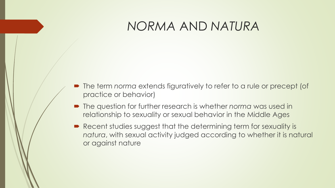#### *NORMA* AND *NATURA*

- The term *norma* extends figuratively to refer to a rule or precept (of practice or behavior)
- The question for further research is whether *norma* was used in relationship to sexuality or sexual behavior in the Middle Ages
- Recent studies suggest that the determining term for sexuality is *natura*, with sexual activity judged according to whether it is natural or against nature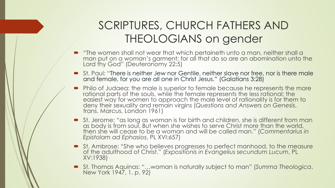#### SCRIPTURES, CHURCH FATHERS AND THEOLOGIANS on gender

- "The women shall not wear that which pertaineth unto a man, neither shall a man put on a woman's garment; for all that do so are an abomination unto the Lord thy God" (Deuteronomy 22:5)
- St. Paul: "There is neither Jew nor Gentile, neither slave nor free, nor is there male and female, for you are all one in Christ Jesus." (Galatians 3:28)
- Philo of Judaea: the male is superior to female because he represents the more rational parts of the souls, while the female represents the less rational; the easiest way for women to approach the male level of rationality is for them to deny their sexuality and remain virgins (*Questions and Answers on Genesis*, trans. Marcus, London 1961)
- St. Jerome: "as long as woman is for birth and children, she is different from man as body is from soul. But when she wishes to serve Christ more than the world, then she will cease to be a woman and will be called man." (*Commentarius in Epistolam ad Ephasios*, PL XVI:657)
- St. Ambrose: "She who believes progresses to perfect manhood, to the measure of the adulthood of Christ." (*Expositionis in Evangelius secundum Lucum*, PL XV:1938)
- St. Thomas Aquinas: "…woman is naturally subject to man" (*Summa Theologica*, New York 1947, 1, p. 92)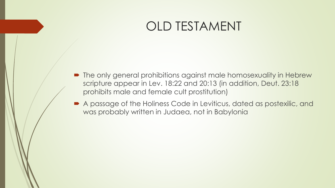#### OLD TESTAMENT

- $\blacksquare$  The only general prohibitions against male homosexuality in Hebrew scripture appear in Lev. 18:22 and 20:13 (in addition, Deut. 23:18 prohibits male and female cult prostitution)
- A passage of the Holiness Code in Leviticus, dated as postexilic, and was probably written in Judaea, not in Babylonia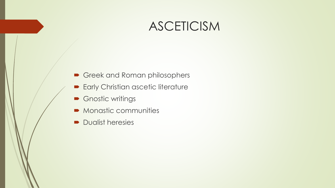#### ASCETICISM

- Greek and Roman philosophers
- **Early Christian ascetic literature**
- Gnostic writings
- **Monastic communities**
- **Dualist heresies**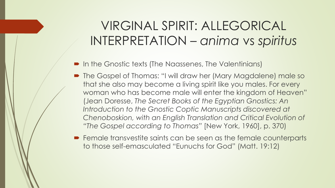#### VIRGINAL SPIRIT: ALLEGORICAL INTERPRETATION – *anima* vs *spiritus*

- In the Gnostic texts (The Naassenes, The Valentinians)
- The Gospel of Thomas: "I will draw her (Mary Magdalene) male so that she also may become a living spirit like you males. For every woman who has become male will enter the kingdom of Heaven" (Jean Doresse, *The Secret Books of the Egyptian Gnostics: An Introduction to the Gnostic Coptic Manuscripts discovered at Chenoboskion, with an English Translation and Critical Evolution of "The Gospel according to Thomas"* [New York, 1960], p. 370)
- Female transvestite saints can be seen as the female counterparts to those self-emasculated "Eunuchs for God" (Matt. 19:12)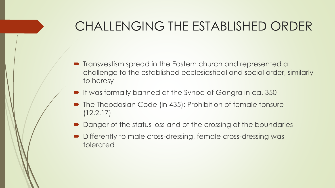#### CHALLENGING THE ESTABLISHED ORDER

- **•** Transvestism spread in the Eastern church and represented a challenge to the established ecclesiastical and social order, similarly to heresy
- It was formally banned at the Synod of Gangra in ca. 350
- The Theodosian Code (in 435): Prohibition of female tonsure (12.2.17)
- Danger of the status loss and of the crossing of the boundaries
- Differently to male cross-dressing, female cross-dressing was tolerated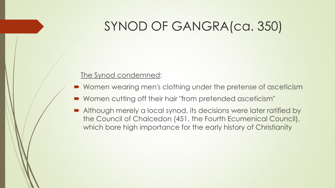#### SYNOD OF GANGRA(ca. 350)

#### The Synod condemned:

- Women wearing men's clothing under the pretense of asceticism
- Women cutting off their hair "from pretended asceticism"
- Although merely a local synod, its decisions were later ratified by the Council of Chalcedon (451, the Fourth Ecumenical Council), which bore high importance for the early history of Christianity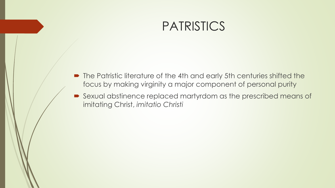#### **PATRISTICS**

- The Patristic literature of the 4th and early 5th centuries shifted the focus by making virginity a major component of personal purity
- Sexual abstinence replaced martyrdom as the prescribed means of imitating Christ, *imitatio Christi*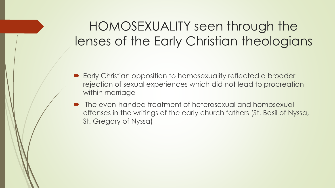#### HOMOSEXUALITY seen through the lenses of the Early Christian theologians

- Early Christian opposition to homosexuality reflected a broader rejection of sexual experiences which did not lead to procreation within marriage
- The even-handed treatment of heterosexual and homosexual offenses in the writings of the early church fathers (St. Basil of Nyssa, St. Gregory of Nyssa)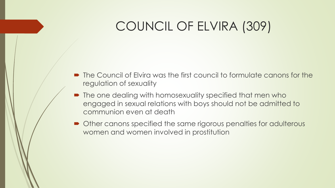#### COUNCIL OF ELVIRA (309)

- The Council of Elvira was the first council to formulate canons for the regulation of sexuality
- The one dealing with homosexuality specified that men who engaged in sexual relations with boys should not be admitted to communion even at death
- Other canons specified the same rigorous penalties for adulterous women and women involved in prostitution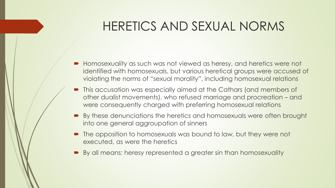#### HERETICS AND SEXUAL NORMS

- Homosexuality as such was not viewed as heresy, and heretics were not identified with homosexuals, but various heretical groups were accused of violating the norms of "sexual morality", including homosexual relations
- This accusation was especially aimed at the Cathars (and members of other dualist movements), who refused marriage and procreation – and were consequently charged with preferring homosexual relations
- By these denunciations the heretics and homosexuals were often brought into one general aggroupation of sinners
- The opposition to homosexuals was bound to law, but they were not executed, as were the heretics
- By all means: heresy represented a greater sin than homosexuality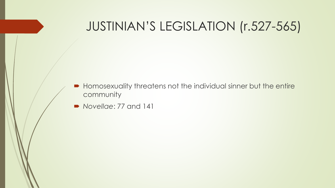#### JUSTINIAN'S LEGISLATION (r.527-565)

- Homosexuality threatens not the individual sinner but the entire community
- *Novellae*: 77 and 141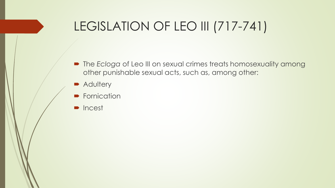### LEGISLATION OF LEO III (717-741)

- The *Ecloga* of Leo III on sexual crimes treats homosexuality among other punishable sexual acts, such as, among other:
- **Adultery**
- **Fornication**
- **D** Incest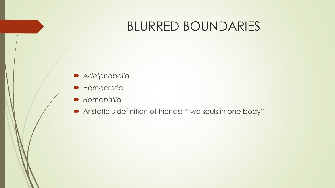#### BLURRED BOUNDARIES

- *Adelphopoiia*
- **Homoerotic**
- *Homophilia*
- Aristotle's definition of friends: "two souls in one body"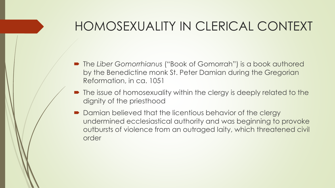#### HOMOSEXUALITY IN CLERICAL CONTEXT

- The *Liber Gomorrhianus* ("Book of Gomorrah") is a book authored by the Benedictine monk St. Peter Damian during the Gregorian Reformation, in ca. 1051
- The issue of homosexuality within the clergy is deeply related to the dignity of the priesthood
- Damian believed that the licentious behavior of the clergy undermined ecclesiastical authority and was beginning to provoke outbursts of violence from an outraged laity, which threatened civil order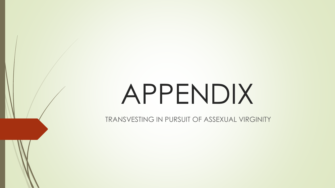# APPENDIX

TRANSVESTING IN PURSUIT OF ASSEXUAL VIRGINITY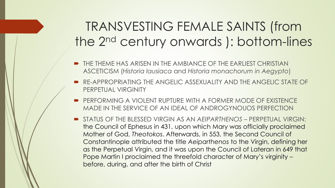#### TRANSVESTING FEMALE SAINTS (from the 2nd century onwards ): bottom-lines

- THE THEME HAS ARISEN IN THE AMBIANCE OF THE EARLIEST CHRISTIAN ASCETICISM (*Historia lausiaca* and *Historia monachorum in Aegypto*)
- RE-APPROPRIATING THE ANGELIC ASSEXUALITY AND THE ANGELIC STATE OF PERPETUAL VIRGINITY
- PERFORMING A VIOLENT RUPTURE WITH A FORMER MODE OF EXISTENCE MADE IN THE SERVICE OF AN IDEAL OF ANDROGYNOUOS PERFECTION
- STATUS OF THE BLESSED VIRGIN AS AN *AEIPARTHENOS* PERPETUAL VIRGIN: the Council of Ephesus in 431, upon which Mary was officially proclaimed Mother of God, *Theotokos*. Afterwards, in 553, the Second Council of Constantinople attributed the title *Aeiparthenos* to the Virgin, defining her as the Perpetual Virgin, and it was upon the Council of Lateran in 649 that Pope Martin I proclaimed the threefold character of Mary's virginity – before, during, and after the birth of Christ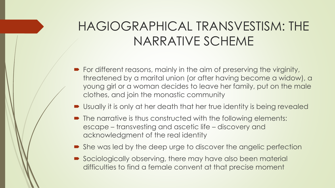### HAGIOGRAPHICAL TRANSVESTISM: THE NARRATIVE SCHEME

- For different reasons, mainly in the aim of preserving the virginity, threatened by a marital union (or after having become a widow), a young girl or a woman decides to leave her family, put on the male clothes, and join the monastic community
- Usually it is only at her death that her true identity is being revealed
- The narrative is thus constructed with the following elements: escape – transvesting and ascetic life – discovery and acknowledgment of the real identity
- She was led by the deep urge to discover the angelic perfection
- Sociologically observing, there may have also been material difficulties to find a female convent at that precise moment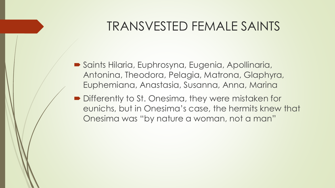#### TRANSVESTED FEMALE SAINTS

- Saints Hilaria, Euphrosyna, Eugenia, Apollinaria, Antonina, Theodora, Pelagia, Matrona, Glaphyra, Euphemiana, Anastasia, Susanna, Anna, Marina
- **Differently to St. Onesima, they were mistaken for** eunichs, but in Onesima's case, the hermits knew that Onesima was "by nature a woman, not a man"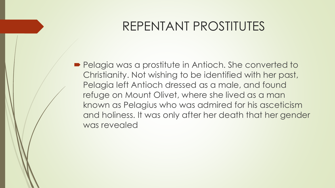#### REPENTANT PROSTITUTES

**Pelagia was a prostitute in Antioch. She converted to** Christianity. Not wishing to be identified with her past, Pelagia left Antioch dressed as a male, and found refuge on Mount Olivet, where she lived as a man known as Pelagius who was admired for his asceticism and holiness. It was only after her death that her gender was revealed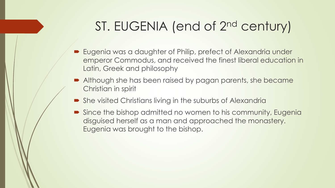#### ST. EUGENIA (end of 2nd century)

- Eugenia was a daughter of Philip, prefect of Alexandria under emperor Commodus, and received the finest liberal education in Latin, Greek and philosophy
- Although she has been raised by pagan parents, she became Christian in spirit
- She visited Christians living in the suburbs of Alexandria
- Since the bishop admitted no women to his community, Eugenia disguised herself as a man and approached the monastery. Eugenia was brought to the bishop.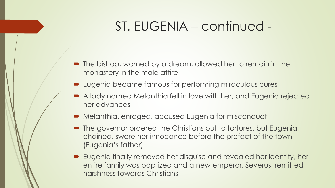#### ST. EUGENIA – continued -

- The bishop, warned by a dream, allowed her to remain in the monastery in the male attire
- Eugenia became famous for performing miraculous cures
- A lady named Melanthia fell in love with her, and Eugenia rejected her advances
- Melanthia, enraged, accused Eugenia for misconduct
- **The governor ordered the Christians put to tortures, but Eugenia,** chained, swore her innocence before the prefect of the town (Eugenia's father)
- Eugenia finally removed her disguise and revealed her identity, her entire family was baptized and a new emperor, Severus, remitted harshness towards Christians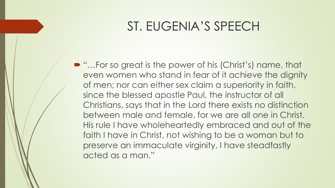#### ST. EUGENIA'S SPEECH

■ "...For so great is the power of his (Christ's) name, that even women who stand in fear of it achieve the dignity of men; nor can either sex claim a superiority in faith, since the blessed apostle Paul, the instructor of all Christians, says that in the Lord there exists no distinction between male and female, for we are all one in Christ. His rule I have wholeheartedly embraced and out of the faith I have in Christ, not wishing to be a woman but to preserve an immaculate virginity, I have steadfastly acted as a man."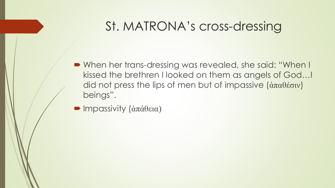#### St. MATRONA's cross-dressing

- When her trans-dressing was revealed, she said: "When I kissed the brethren I looked on them as angels of God…I did not press the lips of men but of impassive (ἀπαθέσιν) beings".
- Impassivity (ἀπάθεια)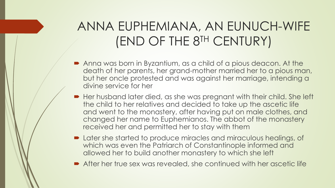### ANNA EUPHEMIANA, AN EUNUCH-WIFE (END OF THE 8TH CENTURY)

- Anna was born in Byzantium, as a child of a pious deacon. At the death of her parents, her grand-mother married her to a pious man, but her oncle protested and was against her marriage, intending a divine service for her
- Her husband later died, as she was pregnant with their child. She left the child to her relatives and decided to take up the ascetic life and went to the monastery, after having put on male clothes, and changed her name to Euphemianos. The abbot of the monastery received her and permitted her to stay with them
- Later she started to produce miracles and miraculous healings, of which was even the Patriarch of Constantinople informed and allowed her to build another monastery to which she left
- After her true sex was revealed, she continued with her ascetic life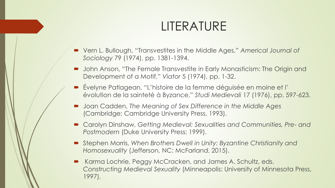#### LITERATURE

- Vern L. Bullough, "Transvestites in the Middle Ages," *Americal Journal of Sociology* 79 (1974), pp. 1381-1394.
- John Anson, "The Female Transvestite in Early Monasticism: The Origin and Development of a Motif," *Viator* 5 (1974), pp. 1-32.
- Évelyne Patlagean, "L'histoire de la femme déguisée en moine et l' évolution de la sainteté à Byzance," *Studi Medievali* 17 (1976), pp. 597-623.
- Joan Cadden, *The Meaning of Sex Difference in the Middle Ages* (Cambridge: Cambridge University Press, 1993).
- Carolyn Dinshaw, *Getting Medieval: Sexualities and Communities, Pre- and Postmodern* (Duke University Press: 1999).
- Stephen Morris, *When Brothers Dwell in Unity: Byzantine Christianity and Homosexuality (Jefferson, NC: McFarland, 2015).*
- Karma Lochrie, Peggy McCracken, and James A. Schultz, eds. *Constructing Medieval Sexuality* (Minneapolis: University of Minnesota Press, 1997).